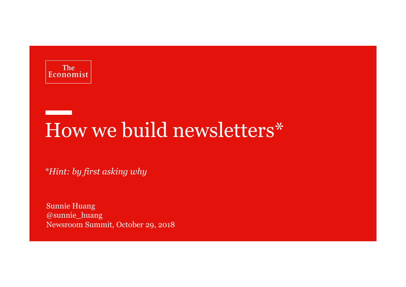

## How we build newsletters\*

*\*Hint: by first asking why*

Sunnie Huang @sunnie\_huangNewsroom Summit, October 29, 2018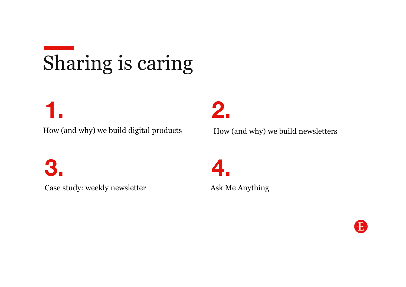# Sharing is caring

### **1.**

How (and why) we build digital products

**3.**

Case study: weekly newsletter

**2.**

How (and why) we build newsletters

**4.**Ask Me Anything

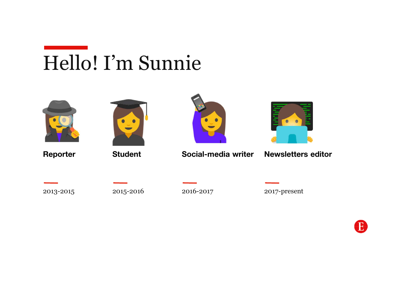



**Reporter**



**Student**



**Social-media writer**



**Newsletters editor**

2015-2016

2016-2017

2017-present

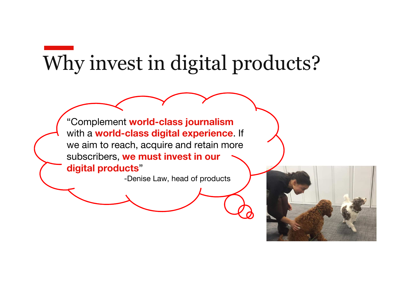## Why invest in digital products?

"Complement **world-class journalism**with a **world-class digital experience**. If we aim to reach, acquire and retain more subscribers, **we must invest in our digital products**"

-Denise Law, head of products

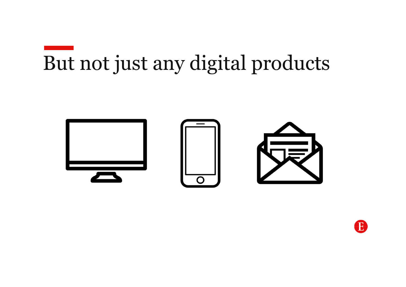# But not just any digital products



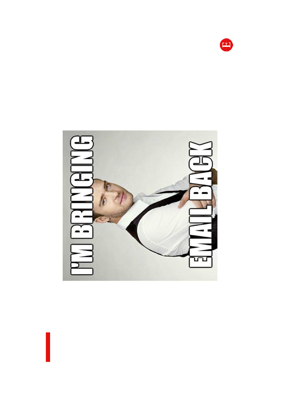

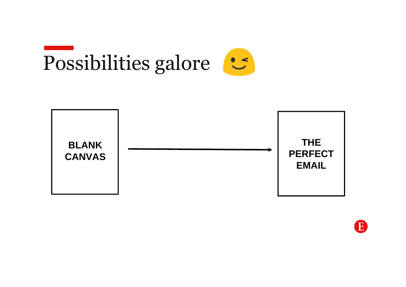



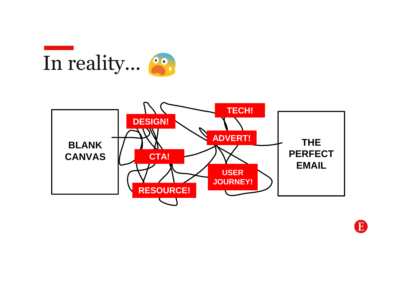



B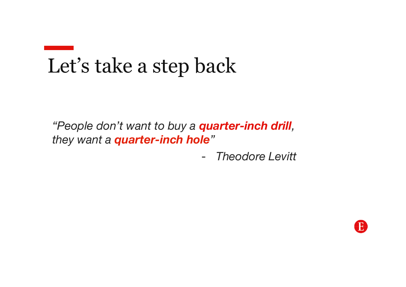## Let's take a step back

*"People don't want to buy a quarter-inch drill, they want a quarter-inch hole"*

> -*Theodore Levitt*

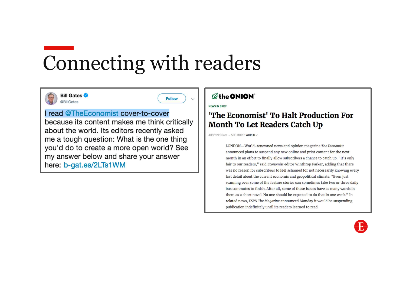# Connecting with readers



Follow

### I read @TheEconomist cover-to-cover

because its content makes me think critically about the world. Its editors recently asked me a tough question: What is the one thing you'd do to create a more open world? See my answer below and share your answer here: b-gat.es/2LTs1WM

### **Øthe ONION**

NEWS IN BRIEF

### <sup>1</sup>The Economist<sup>1</sup> To Halt Production For **Month To Let Readers Catch Up**

4/19/11 9:00am · SEE MORE: WORLD ~

LONDON-World-renowned news and opinion magazine The Economist announced plans to suspend any new online and print content for the next month in an effort to finally allow subscribers a chance to catch up. "It's only fair to our readers," said Economist editor Winthrop Parker, adding that there was no reason for subscribers to feel ashamed for not necessarily knowing every last detail about the current economic and geopolitical climate. "Even just scanning over some of the feature stories can sometimes take two or three daily bus commutes to finish. After all, some of these issues have as many words in them as a short novel. No one should be expected to do that in one week." In related news, ESPN The Magazine announced Monday it would be suspending publication indefinitely until its readers learned to read.

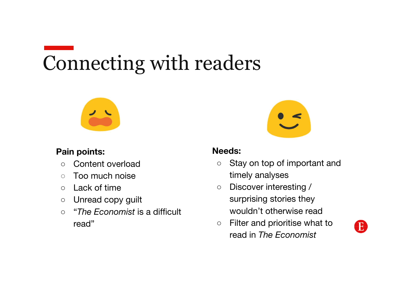# Connecting with readers



### **Pain points:**

- $\circ$ Content overload
- $\bigcirc$ Too much noise
- $\circ$ Lack of time
- $\bigcirc$ Unread copy guilt
- $\bigcirc$ "*The Economist* is a difficult read"



### **Needs:**

- $\circ$  Stay on top of important and timely analyses
- $\bigcirc$  Discover interesting / surprising stories they wouldn't otherwise read
- $\circ$  Filter and prioritise what to  $\circ$ read in *The Economist*

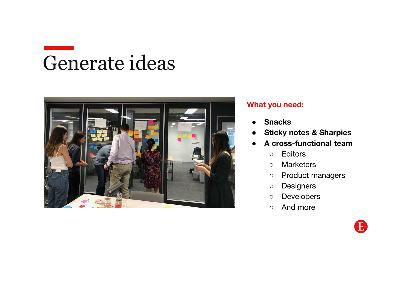## Generate ideas



### **What you need:**

- ●**Snacks**
- $\bullet$ **Sticky notes & Sharpies**
- ● **A cross -functional team**
	- $\circ$ **Editors**
	- $\circ$ **Marketers**
	- $\circ$ Product managers
	- $\circ$ **Designers**
	- $\circ$ Developers
	- $\circ$ And more

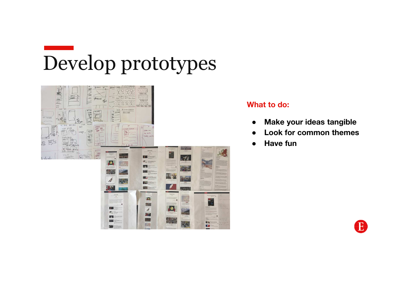# Develop prototypes



### **What to do:**

- ●**Make your ideas tangible**
- ●**Look for common themes**
- ●**Have fun**

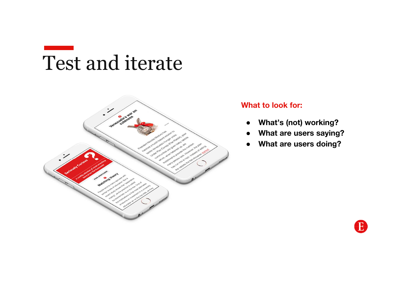## Test and iterate



### **What to look for:**

- $\bullet$ **What's (not) working?**
- ●**What are users saying?**
- ●**What are users doing?**

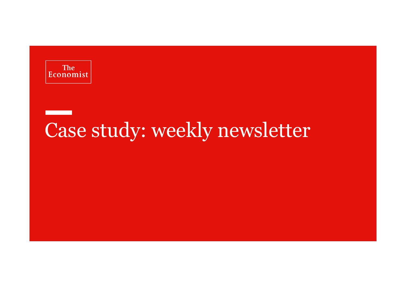

## Case study: weekly newsletter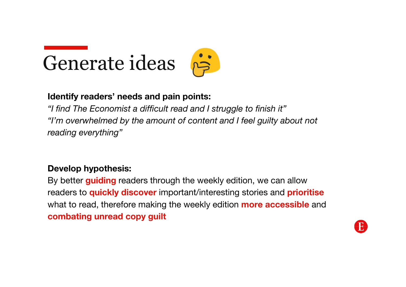

### **Identify readers' needs and pain points:**

*"I find The Economist a difficult read and I struggle to finish it""I'm overwhelmed by the amount of content and I feel guilty about not reading everything"*

### **Develop hypothesis:**

By better **guiding** readers through the weekly edition, we can allow readers to **quickly discover** important/interesting stories and **prioritise**what to read, therefore making the weekly edition **more accessible** and **combating unread copy guilt**

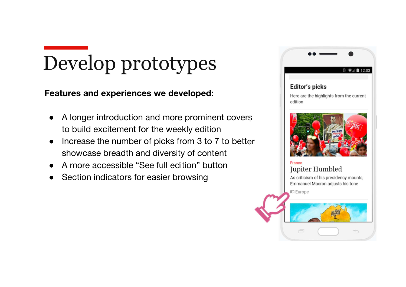## Develop prototypes

**Features and experiences we developed:** 

- $\bullet$  A longer introduction and more prominent covers to build excitement for the weekly edition
- ● Increase the number of picks from 3 to 7 to better showcase breadth and diversity of content
- ●A more accessible "See full edition" button
- ●Section indicators for easier browsing

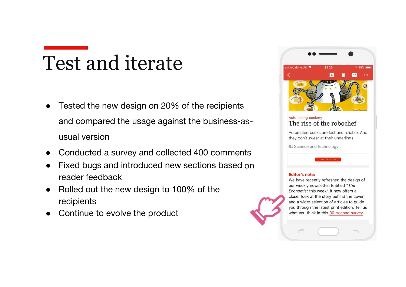### Test and iterate

- $\bullet$  Tested the new design on 20% of the recipients and compared the usage against the business-asusual version
- ●Conducted a survey and collected 400 comments
- ● Fixed bugs and introduced new sections based on reader feedback
- $\bullet$  Rolled out the new design to 100% of the recipients
- ●Continue to evolve the product



#### Automating cookery The rise of the robochef

Automated cooks are fast and reliable. And they don't swear at their underlings

I Science and technology

#### **Editor's note:**

ō

We have recently refreshed the design of our weekly newsletter. Entitled "The Economist this week", it now offers a closer look at the story behind the cover and a wider selection of articles to guide you through the latest print edition. Tell us what you think in this 30-second survey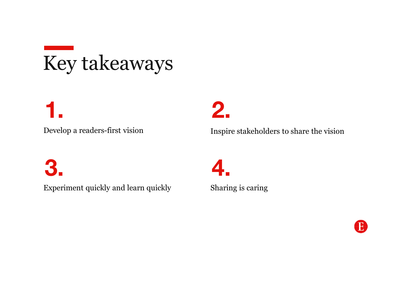# Key takeaways

**1.**

Develop a readers-first vision

**2.**

Inspire stakeholders to share the vision

**3.**

Experiment quickly and learn quickly

**4.**

Sharing is caring